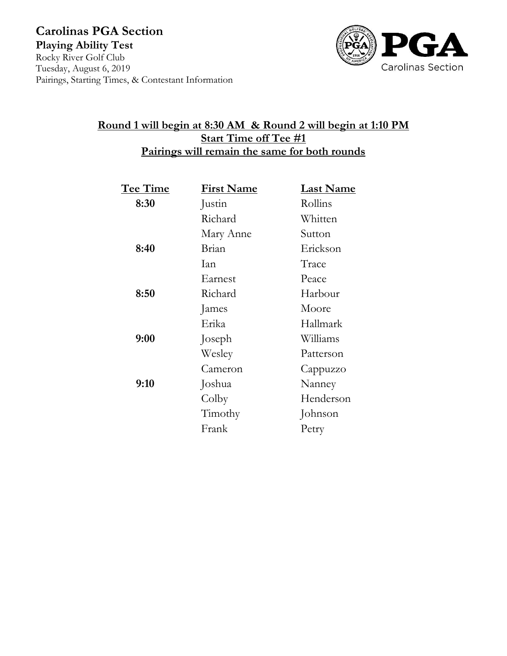**Carolinas PGA Section Playing Ability Test** Rocky River Golf Club Tuesday, August 6, 2019 Pairings, Starting Times, & Contestant Information



## **Round 1 will begin at 8:30 AM & Round 2 will begin at 1:10 PM Start Time off Tee #1 Pairings will remain the same for both rounds**

| Tee Time | <b>First Name</b> | <b>Last Name</b> |
|----------|-------------------|------------------|
| 8:30     | Justin            | Rollins          |
|          | Richard           | Whitten          |
|          | Mary Anne         | Sutton           |
| 8:40     | Brian             | Erickson         |
|          | Ian               | Trace            |
|          | Earnest           | Peace            |
| 8:50     | Richard           | Harbour          |
|          | James             | Moore            |
|          | Erika             | Hallmark         |
| 9:00     | Joseph            | Williams         |
|          | Wesley            | Patterson        |
|          | Cameron           | Cappuzzo         |
| 9:10     | Joshua            | Nanney           |
|          | Colby             | Henderson        |
|          | Timothy           | Johnson          |
|          | Frank             | Petry            |